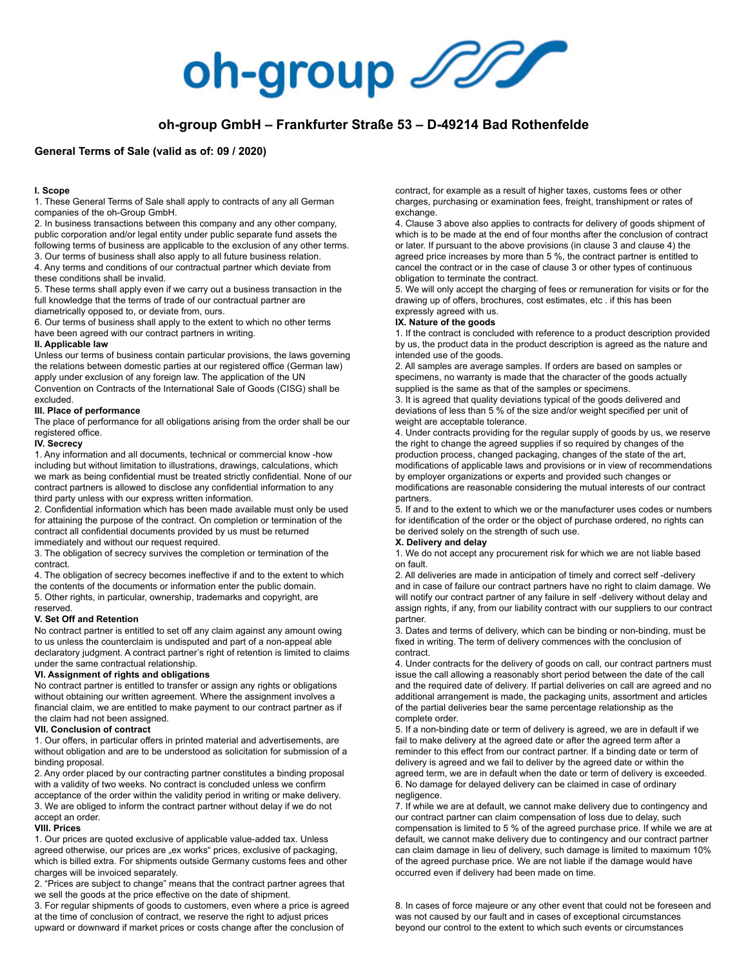

# **oh-group GmbH – Frankfurter Straße 53 – D-49214 Bad Rothenfelde**

# **General Terms of Sale (valid as of: 09 / 2020)**

# **I. Scope**

1. These General Terms of Sale shall apply to contracts of any all German companies of the oh-Group GmbH.

2. In business transactions between this company and any other company, public corporation and/or legal entity under public separate fund assets the following terms of business are applicable to the exclusion of any other terms. 3. Our terms of business shall also apply to all future business relation. 4. Any terms and conditions of our contractual partner which deviate from these conditions shall be invalid.

5. These terms shall apply even if we carry out a business transaction in the full knowledge that the terms of trade of our contractual partner are diametrically opposed to, or deviate from, ours.

6. Our terms of business shall apply to the extent to which no other terms have been agreed with our contract partners in writing.

## **II. Applicable law**

Unless our terms of business contain particular provisions, the laws governing the relations between domestic parties at our registered office (German law) apply under exclusion of any foreign law. The application of the UN Convention on Contracts of the International Sale of Goods (CISG) shall be excluded.

## **III. Place of performance**

The place of performance for all obligations arising from the order shall be our registered office.

# **IV. Secrecy**

1. Any information and all documents, technical or commercial know -how including but without limitation to illustrations, drawings, calculations, which we mark as being confidential must be treated strictly confidential. None of our contract partners is allowed to disclose any confidential information to any third party unless with our express written information.

2. Confidential information which has been made available must only be used for attaining the purpose of the contract. On completion or termination of the contract all confidential documents provided by us must be returned immediately and without our request required.

3. The obligation of secrecy survives the completion or termination of the contract.

4. The obligation of secrecy becomes ineffective if and to the extent to which the contents of the documents or information enter the public domain. 5. Other rights, in particular, ownership, trademarks and copyright, are reserved.

# **V. Set Off and Retention**

No contract partner is entitled to set off any claim against any amount owing to us unless the counterclaim is undisputed and part of a non-appeal able declaratory judgment. A contract partner's right of retention is limited to claims under the same contractual relationship.

# **VI. Assignment of rights and obligations**

No contract partner is entitled to transfer or assign any rights or obligations without obtaining our written agreement. Where the assignment involves a financial claim, we are entitled to make payment to our contract partner as if the claim had not been assigned.

# **VII. Conclusion of contract**

1. Our offers, in particular offers in printed material and advertisements, are without obligation and are to be understood as solicitation for submission of a binding proposal.

2. Any order placed by our contracting partner constitutes a binding proposal with a validity of two weeks. No contract is concluded unless we confirm march calculy of the order within the validity period in writing or make delivery. 3. We are obliged to inform the contract partner without delay if we do not accept an order.

# **VIII. Prices**

1. Our prices are quoted exclusive of applicable value-added tax. Unless agreed otherwise, our prices are "ex works" prices, exclusive of packaging, which is billed extra. For shipments outside Germany customs fees and other charges will be invoiced separately.

2. "Prices are subject to change" means that the contract partner agrees that we sell the goods at the price effective on the date of shipment.

3. For regular shipments of goods to customers, even where a price is agreed at the time of conclusion of contract, we reserve the right to adjust prices upward or downward if market prices or costs change after the conclusion of

contract, for example as a result of higher taxes, customs fees or other charges, purchasing or examination fees, freight, transhipment or rates of exchange.

4. Clause 3 above also applies to contracts for delivery of goods shipment of which is to be made at the end of four months after the conclusion of contract or later. If pursuant to the above provisions (in clause 3 and clause 4) the agreed price increases by more than 5 %, the contract partner is entitled to cancel the contract or in the case of clause 3 or other types of continuous obligation to terminate the contract.

5. We will only accept the charging of fees or remuneration for visits or for the drawing up of offers, brochures, cost estimates, etc . if this has been expressly agreed with us.

#### **IX. Nature of the goods**

1. If the contract is concluded with reference to a product description provided by us, the product data in the product description is agreed as the nature and intended use of the goods.

2. All samples are average samples. If orders are based on samples or specimens, no warranty is made that the character of the goods actually supplied is the same as that of the samples or specimens.

3. It is agreed that quality deviations typical of the goods delivered and deviations of less than 5 % of the size and/or weight specified per unit of weight are acceptable tolerance.

4. Under contracts providing for the regular supply of goods by us, we reserve the right to change the agreed supplies if so required by changes of the production process, changed packaging, changes of the state of the art, modifications of applicable laws and provisions or in view of recommendations by employer organizations or experts and provided such changes or modifications are reasonable considering the mutual interests of our contract partners.

5. If and to the extent to which we or the manufacturer uses codes or numbers for identification of the order or the object of purchase ordered, no rights can be derived solely on the strength of such use.

#### **X. Delivery and delay**

1. We do not accept any procurement risk for which we are not liable based on fault.

2. All deliveries are made in anticipation of timely and correct self -delivery and in case of failure our contract partners have no right to claim damage. We will notify our contract partner of any failure in self-delivery without delay and assign rights, if any, from our liability contract with our suppliers to our contract partner.

3. Dates and terms of delivery, which can be binding or non-binding, must be fixed in writing. The term of delivery commences with the conclusion of contract.

4. Under contracts for the delivery of goods on call, our contract partners must issue the call allowing a reasonably short period between the date of the call and the required date of delivery. If partial deliveries on call are agreed and no additional arrangement is made, the packaging units, assortment and articles of the partial deliveries bear the same percentage relationship as the complete order.

5. If a non-binding date or term of delivery is agreed, we are in default if we fail to make delivery at the agreed date or after the agreed term after a reminder to this effect from our contract partner. If a binding date or term of delivery is agreed and we fail to deliver by the agreed date or within the agreed term, we are in default when the date or term of delivery is exceeded. 6. No damage for delayed delivery can be claimed in case of ordinary negligence.

7. If while we are at default, we cannot make delivery due to contingency and our contract partner can claim compensation of loss due to delay, such compensation is limited to 5 % of the agreed purchase price. If while we are at default, we cannot make delivery due to contingency and our contract partner can claim damage in lieu of delivery, such damage is limited to maximum 10% of the agreed purchase price. We are not liable if the damage would have occurred even if delivery had been made on time.

8. In cases of force majeure or any other event that could not be foreseen and was not caused by our fault and in cases of exceptional circumstances beyond our control to the extent to which such events or circumstances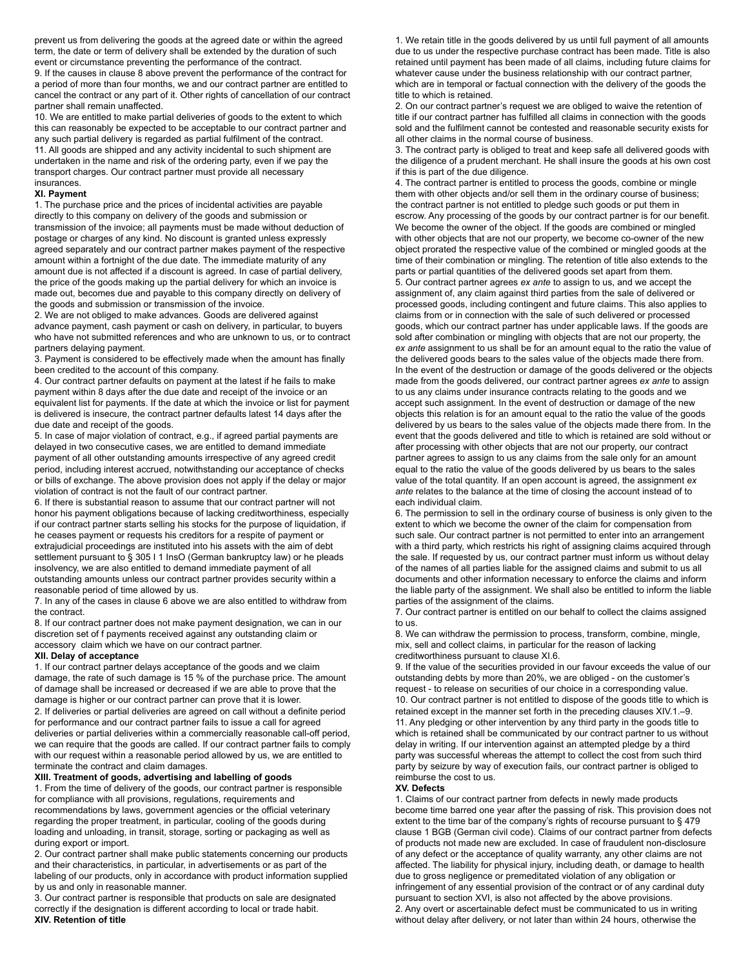prevent us from delivering the goods at the agreed date or within the agreed term, the date or term of delivery shall be extended by the duration of such event or circumstance preventing the performance of the contract.

9. If the causes in clause 8 above prevent the performance of the contract for a period of more than four months, we and our contract partner are entitled to cancel the contract or any part of it. Other rights of cancellation of our contract partner shall remain unaffected.

10. We are entitled to make partial deliveries of goods to the extent to which this can reasonably be expected to be acceptable to our contract partner and any such partial delivery is regarded as partial fulfilment of the contract. 11. All goods are shipped and any activity incidental to such shipment are undertaken in the name and risk of the ordering party, even if we pay the transport charges. Our contract partner must provide all necessary insurances.

#### **XI. Payment**

1. The purchase price and the prices of incidental activities are payable directly to this company on delivery of the goods and submission or transmission of the invoice; all payments must be made without deduction of postage or charges of any kind. No discount is granted unless expressly agreed separately and our contract partner makes payment of the respective amount within a fortnight of the due date. The immediate maturity of any amount due is not affected if a discount is agreed. In case of partial delivery, the price of the goods making up the partial delivery for which an invoice is made out, becomes due and payable to this company directly on delivery of the goods and submission or transmission of the invoice.

2. We are not obliged to make advances. Goods are delivered against advance payment, cash payment or cash on delivery, in particular, to buyers who have not submitted references and who are unknown to us, or to contract partners delaying payment.

3. Payment is considered to be effectively made when the amount has finally been credited to the account of this company.

4. Our contract partner defaults on payment at the latest if he fails to make payment within 8 days after the due date and receipt of the invoice or an equivalent list for payments. If the date at which the invoice or list for payment is delivered is insecure, the contract partner defaults latest 14 days after the due date and receipt of the goods.

5. In case of major violation of contract, e.g., if agreed partial payments are delayed in two consecutive cases, we are entitled to demand immediate payment of all other outstanding amounts irrespective of any agreed credit period, including interest accrued, notwithstanding our acceptance of checks or bills of exchange. The above provision does not apply if the delay or major violation of contract is not the fault of our contract partner.

6. If there is substantial reason to assume that our contract partner will not honor his payment obligations because of lacking creditworthiness, especially if our contract partner starts selling his stocks for the purpose of liquidation, if he ceases payment or requests his creditors for a respite of payment or extrajudicial proceedings are instituted into his assets with the aim of debt settlement pursuant to § 305 I 1 InsO (German bankruptcy law) or he pleads insolvency, we are also entitled to demand immediate payment of all outstanding amounts unless our contract partner provides security within a reasonable period of time allowed by us.

7. In any of the cases in clause 6 above we are also entitled to withdraw from the contract.

8. If our contract partner does not make payment designation, we can in our discretion set of f payments received against any outstanding claim or accessory claim which we have on our contract partner.

#### **XII. Delay of acceptance**

1. If our contract partner delays acceptance of the goods and we claim damage, the rate of such damage is 15 % of the purchase price. The amount of damage shall be increased or decreased if we are able to prove that the damage is higher or our contract partner can prove that it is lower.

2. If deliveries or partial deliveries are agreed on call without a definite period for performance and our contract partner fails to issue a call for agreed deliveries or partial deliveries within a commercially reasonable call-off period, we can require that the goods are called. If our contract partner fails to comply with our request within a reasonable period allowed by us, we are entitled to terminate the contract and claim damages.

#### **XIII. Treatment of goods, advertising and labelling of goods**

1. From the time of delivery of the goods, our contract partner is responsible for compliance with all provisions, regulations, requirements and recommendations by laws, government agencies or the official veterinary regarding the proper treatment, in particular, cooling of the goods during loading and unloading, in transit, storage, sorting or packaging as well as during export or import.

2. Our contract partner shall make public statements concerning our products and their characteristics, in particular, in advertisements or as part of the labeling of our products, only in accordance with product information supplied by us and only in reasonable manner.

3. Our contract partner is responsible that products on sale are designated correctly if the designation is different according to local or trade habit. **XIV. Retention of title** 

1. We retain title in the goods delivered by us until full payment of all amounts due to us under the respective purchase contract has been made. Title is also retained until payment has been made of all claims, including future claims for whatever cause under the business relationship with our contract partner, which are in temporal or factual connection with the delivery of the goods the title to which is retained.

2. On our contract partner's request we are obliged to waive the retention of title if our contract partner has fulfilled all claims in connection with the goods sold and the fulfilment cannot be contested and reasonable security exists for all other claims in the normal course of business.

3. The contract party is obliged to treat and keep safe all delivered goods with the diligence of a prudent merchant. He shall insure the goods at his own cost if this is part of the due diligence.

4. The contract partner is entitled to process the goods, combine or mingle them with other objects and/or sell them in the ordinary course of business; the contract partner is not entitled to pledge such goods or put them in escrow. Any processing of the goods by our contract partner is for our benefit. We become the owner of the object. If the goods are combined or mingled with other objects that are not our property, we become co-owner of the new object prorated the respective value of the combined or mingled goods at the time of their combination or mingling. The retention of title also extends to the parts or partial quantities of the delivered goods set apart from them. 5. Our contract partner agrees *ex ante* to assign to us, and we accept the assignment of, any claim against third parties from the sale of delivered or processed goods, including contingent and future claims. This also applies to claims from or in connection with the sale of such delivered or processed goods, which our contract partner has under applicable laws. If the goods are sold after combination or mingling with objects that are not our property, the *ex ante* assignment to us shall be for an amount equal to the ratio the value of the delivered goods bears to the sales value of the objects made there from. In the event of the destruction or damage of the goods delivered or the objects made from the goods delivered, our contract partner agrees *ex ante* to assign to us any claims under insurance contracts relating to the goods and we accept such assignment. In the event of destruction or damage of the new objects this relation is for an amount equal to the ratio the value of the goods delivered by us bears to the sales value of the objects made there from. In the event that the goods delivered and title to which is retained are sold without or after processing with other objects that are not our property, our contract partner agrees to assign to us any claims from the sale only for an amount equal to the ratio the value of the goods delivered by us bears to the sales value of the total quantity. If an open account is agreed, the assignment *ex ante* relates to the balance at the time of closing the account instead of to each individual claim.

6. The permission to sell in the ordinary course of business is only given to the extent to which we become the owner of the claim for compensation from such sale. Our contract partner is not permitted to enter into an arrangement with a third party, which restricts his right of assigning claims acquired through the sale. If requested by us, our contract partner must inform us without delay of the names of all parties liable for the assigned claims and submit to us all documents and other information necessary to enforce the claims and inform the liable party of the assignment. We shall also be entitled to inform the liable parties of the assignment of the claims.

7. Our contract partner is entitled on our behalf to collect the claims assigned to us.

8. We can withdraw the permission to process, transform, combine, mingle, mix, sell and collect claims, in particular for the reason of lacking creditworthiness pursuant to clause XI.6.

9. If the value of the securities provided in our favour exceeds the value of our outstanding debts by more than 20%, we are obliged - on the customer's request - to release on securities of our choice in a corresponding value. 10. Our contract partner is not entitled to dispose of the goods title to which is retained except in the manner set forth in the preceding clauses XIV.1.–9. 11. Any pledging or other intervention by any third party in the goods title to which is retained shall be communicated by our contract partner to us without delay in writing. If our intervention against an attempted pledge by a third party was successful whereas the attempt to collect the cost from such third party by seizure by way of execution fails, our contract partner is obliged to reimburse the cost to us.

# **XV. Defects**

1. Claims of our contract partner from defects in newly made products become time barred one year after the passing of risk. This provision does not extent to the time bar of the company's rights of recourse pursuant to § 479 clause 1 BGB (German civil code). Claims of our contract partner from defects of products not made new are excluded. In case of fraudulent non-disclosure of any defect or the acceptance of quality warranty, any other claims are not affected. The liability for physical injury, including death, or damage to health due to gross negligence or premeditated violation of any obligation or infringement of any essential provision of the contract or of any cardinal duty pursuant to section XVI, is also not affected by the above provisions. 2. Any overt or ascertainable defect must be communicated to us in writing without delay after delivery, or not later than within 24 hours, otherwise the